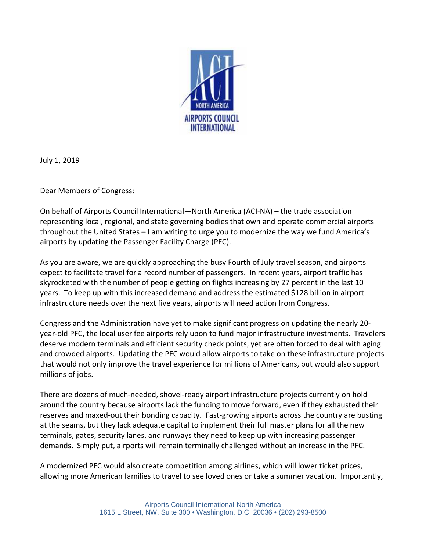

July 1, 2019

Dear Members of Congress:

On behalf of Airports Council International—North America (ACI-NA) – the trade association representing local, regional, and state governing bodies that own and operate commercial airports throughout the United States – I am writing to urge you to modernize the way we fund America's airports by updating the Passenger Facility Charge (PFC).

As you are aware, we are quickly approaching the busy Fourth of July travel season, and airports expect to facilitate travel for a record number of passengers. In recent years, airport traffic has skyrocketed with the number of people getting on flights increasing by 27 percent in the last 10 years. To keep up with this increased demand and address the estimated \$128 billion in airport infrastructure needs over the next five years, airports will need action from Congress.

Congress and the Administration have yet to make significant progress on updating the nearly 20 year-old PFC, the local user fee airports rely upon to fund major infrastructure investments. Travelers deserve modern terminals and efficient security check points, yet are often forced to deal with aging and crowded airports. Updating the PFC would allow airports to take on these infrastructure projects that would not only improve the travel experience for millions of Americans, but would also support millions of jobs.

There are dozens of much-needed, shovel-ready airport infrastructure projects currently on hold around the country because airports lack the funding to move forward, even if they exhausted their reserves and maxed-out their bonding capacity. Fast-growing airports across the country are busting at the seams, but they lack adequate capital to implement their full master plans for all the new terminals, gates, security lanes, and runways they need to keep up with increasing passenger demands. Simply put, airports will remain terminally challenged without an increase in the PFC.

A modernized PFC would also create competition among airlines, which will lower ticket prices, allowing more American families to travel to see loved ones or take a summer vacation. Importantly,